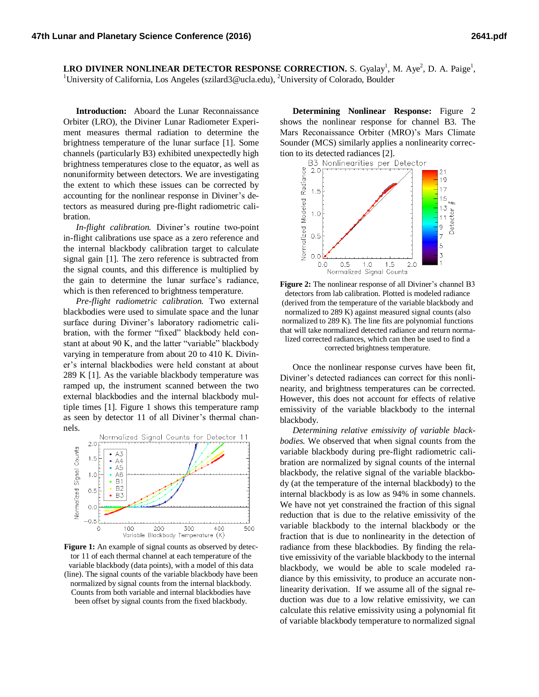**LRO DIVINER NONLINEAR DETECTOR RESPONSE CORRECTION.** S. Gyalay<sup>1</sup>, M. Aye<sup>2</sup>, D. A. Paige<sup>1</sup>, <sup>1</sup>University of California, Los Angeles (szilard3@ucla.edu), <sup>2</sup>University of Colorado, Boulder

**Introduction:** Aboard the Lunar Reconnaissance Orbiter (LRO), the Diviner Lunar Radiometer Experiment measures thermal radiation to determine the brightness temperature of the lunar surface [1]. Some channels (particularly B3) exhibited unexpectedly high brightness temperatures close to the equator, as well as nonuniformity between detectors. We are investigating the extent to which these issues can be corrected by accounting for the nonlinear response in Diviner's detectors as measured during pre-flight radiometric calibration.

*In-flight calibration.* Diviner's routine two-point in-flight calibrations use space as a zero reference and the internal blackbody calibration target to calculate signal gain [1]. The zero reference is subtracted from the signal counts, and this difference is multiplied by the gain to determine the lunar surface's radiance, which is then referenced to brightness temperature.

*Pre-flight radiometric calibration.* Two external blackbodies were used to simulate space and the lunar surface during Diviner's laboratory radiometric calibration, with the former "fixed" blackbody held constant at about 90 K, and the latter "variable" blackbody varying in temperature from about 20 to 410 K. Diviner's internal blackbodies were held constant at about 289 K [1]. As the variable blackbody temperature was ramped up, the instrument scanned between the two external blackbodies and the internal blackbody multiple times [1]. Figure 1 shows this temperature ramp as seen by detector 11 of all Diviner's thermal channels.



Figure 1: An example of signal counts as observed by detector 11 of each thermal channel at each temperature of the variable blackbody (data points), with a model of this data (line). The signal counts of the variable blackbody have been normalized by signal counts from the internal blackbody. Counts from both variable and internal blackbodies have been offset by signal counts from the fixed blackbody.

**Determining Nonlinear Response:** Figure 2 shows the nonlinear response for channel B3. The Mars Reconaissance Orbiter (MRO)'s Mars Climate Sounder (MCS) similarly applies a nonlinearity correction to its detected radiances [2].



**Figure 2:** The nonlinear response of all Diviner's channel B3 detectors from lab calibration. Plotted is modeled radiance (derived from the temperature of the variable blackbody and normalized to 289 K) against measured signal counts (also normalized to 289 K). The line fits are polynomial functions that will take normalized detected radiance and return normalized corrected radiances, which can then be used to find a corrected brightness temperature.

Once the nonlinear response curves have been fit, Diviner's detected radiances can correct for this nonlinearity, and brightness temperatures can be corrected. However, this does not account for effects of relative emissivity of the variable blackbody to the internal blackbody.

*Determining relative emissivity of variable blackbodies.* We observed that when signal counts from the variable blackbody during pre-flight radiometric calibration are normalized by signal counts of the internal blackbody, the relative signal of the variable blackbody (at the temperature of the internal blackbody) to the internal blackbody is as low as 94% in some channels. We have not yet constrained the fraction of this signal reduction that is due to the relative emissivity of the variable blackbody to the internal blackbody or the fraction that is due to nonlinearity in the detection of radiance from these blackbodies. By finding the relative emissivity of the variable blackbody to the internal blackbody, we would be able to scale modeled radiance by this emissivity, to produce an accurate nonlinearity derivation. If we assume all of the signal reduction was due to a low relative emissivity, we can calculate this relative emissivity using a polynomial fit of variable blackbody temperature to normalized signal